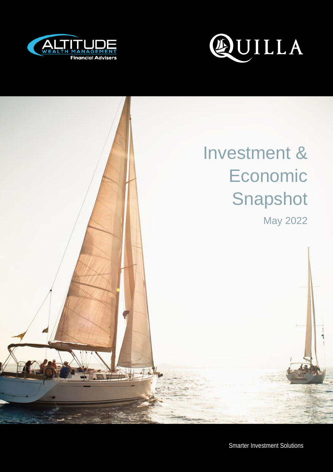



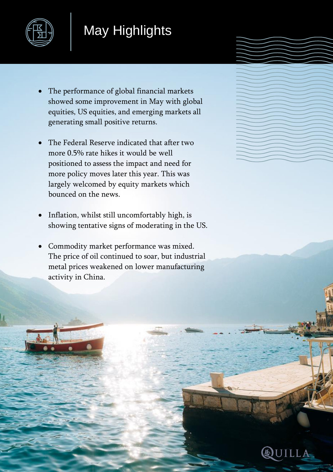

## May Highlights

- The performance of global financial markets showed some improvement in May with global equities, US equities, and emerging markets all generating small positive returns.
- The Federal Reserve indicated that after two more 0.5% rate hikes it would be well positioned to assess the impact and need for more policy moves later this year. This was largely welcomed by equity markets which bounced on the news.
- Inflation, whilst still uncomfortably high, is showing tentative signs of moderating in the US.
- Commodity market performance was mixed. The price of oil continued to soar, but industrial metal prices weakened on lower manufacturing activity in China.

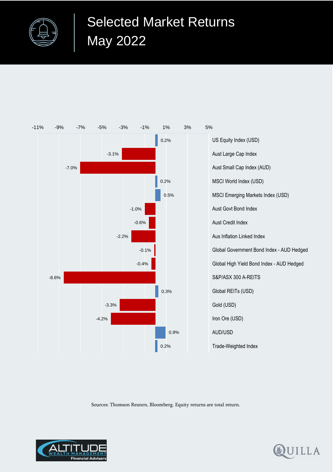



Sources: Thomson Reuters, Bloomberg. Equity returns are total return.



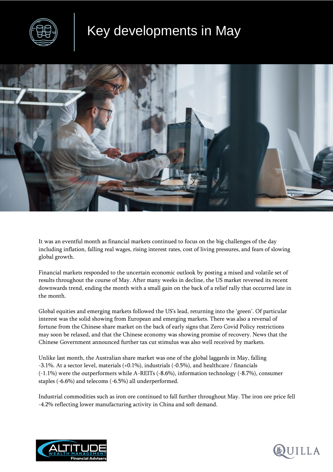

## Key developments in May



It was an eventful month as financial markets continued to focus on the big challenges of the day including inflation, falling real wages, rising interest rates, cost of living pressures, and fears of slowing global growth.

Financial markets responded to the uncertain economic outlook by posting a mixed and volatile set of results throughout the course of May. After many weeks in decline, the US market reversed its recent downwards trend, ending the month with a small gain on the back of a relief rally that occurred late in the month.

Global equities and emerging markets followed the US's lead, returning into the 'green'. Of particular interest was the solid showing from European and emerging markets. There was also a reversal of fortune from the Chinese share market on the back of early signs that Zero Covid Policy restrictions may soon be relaxed, and that the Chinese economy was showing promise of recovery. News that the Chinese Government announced further tax cut stimulus was also well received by markets.

Unlike last month, the Australian share market was one of the global laggards in May, falling -3.1%. At a sector level, materials (+0.1%), industrials (-0.5%), and healthcare / financials (-1.1%) were the outperformers while A-REITs (-8.6%), information technology (-8.7%), consumer staples (-6.6%) and telecoms (-6.5%) all underperformed.

Industrial commodities such as iron ore continued to fall further throughout May. The iron ore price fell -4.2% reflecting lower manufacturing activity in China and soft demand.



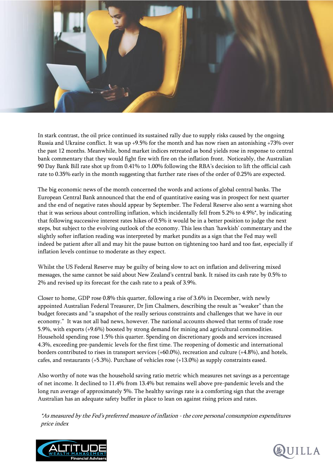

In stark contrast, the oil price continued its sustained rally due to supply risks caused by the ongoing Russia and Ukraine conflict. It was up +9.5% for the month and has now risen an astonishing +73% over the past 12 months. Meanwhile, bond market indices retreated as bond yields rose in response to central bank commentary that they would fight fire with fire on the inflation front. Noticeably, the Australian 90 Day Bank Bill rate shot up from 0.41% to 1.00% following the RBA's decision to lift the official cash rate to 0.35% early in the month suggesting that further rate rises of the order of 0.25% are expected.

The big economic news of the month concerned the words and actions of global central banks. The European Central Bank announced that the end of quantitative easing was in prospect for next quarter and the end of negative rates should appear by September. The Federal Reserve also sent a warning shot that it was serious about controlling inflation, which incidentally fell from 5.2% to 4.9%\*, by indicating that following successive interest rates hikes of 0.5% it would be in a better position to judge the next steps, but subject to the evolving outlook of the economy. This less than 'hawkish' commentary and the slightly softer inflation reading was interpreted by market pundits as a sign that the Fed may well indeed be patient after all and may hit the pause button on tightening too hard and too fast, especially if inflation levels continue to moderate as they expect.

Whilst the US Federal Reserve may be guilty of being slow to act on inflation and delivering mixed messages, the same cannot be said about New Zealand's central bank. It raised its cash rate by 0.5% to 2% and revised up its forecast for the cash rate to a peak of 3.9%.

Closer to home, GDP rose 0.8% this quarter, following a rise of 3.6% in December, with newly appointed Australian Federal Treasurer, Dr Jim Chalmers, describing the result as "weaker" than the budget forecasts and "a snapshot of the really serious constraints and challenges that we have in our economy." It was not all bad news, however. The national accounts showed that terms of trade rose 5.9%, with exports (+9.6%) boosted by strong demand for mining and agricultural commodities. Household spending rose 1.5% this quarter. Spending on discretionary goods and services increased 4.3%, exceeding pre-pandemic levels for the first time. The reopening of domestic and international borders contributed to rises in transport services (+60.0%), recreation and culture (+4.8%), and hotels, cafes, and restaurants (+5.3%). Purchase of vehicles rose (+13.0%) as supply constraints eased.

Also worthy of note was the household saving ratio metric which measures net savings as a percentage of net income. It declined to 11.4% from 13.4% but remains well above pre-pandemic levels and the long run average of approximately 5%. The healthy savings rate is a comforting sign that the average Australian has an adequate safety buffer in place to lean on against rising prices and rates.

\*As measured by the Fed's preferred measure of inflation - the core personal consumption expenditures price index



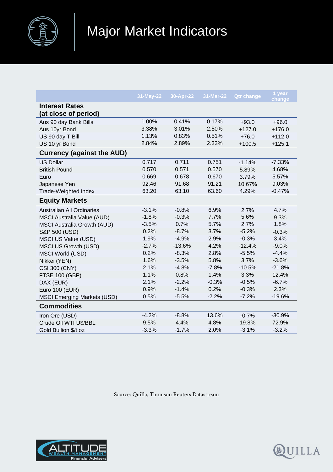

|                                               | 31-May-22 | 30-Apr-22 | 31-Mar-22 | <b>Qtr change</b> | 1 year<br>change |
|-----------------------------------------------|-----------|-----------|-----------|-------------------|------------------|
| <b>Interest Rates</b><br>(at close of period) |           |           |           |                   |                  |
| Aus 90 day Bank Bills                         | 1.00%     | 0.41%     | 0.17%     | $+93.0$           | $+96.0$          |
| Aus 10yr Bond                                 | 3.38%     | 3.01%     | 2.50%     | $+127.0$          | $+176.0$         |
| US 90 day T Bill                              | 1.13%     | 0.83%     | 0.51%     | $+76.0$           | $+112.0$         |
| US 10 yr Bond                                 | 2.84%     | 2.89%     | 2.33%     | $+100.5$          | $+125.1$         |
| <b>Currency (against the AUD)</b>             |           |           |           |                   |                  |
| <b>US Dollar</b>                              | 0.717     | 0.711     | 0.751     | $-1.14%$          | $-7.33%$         |
| <b>British Pound</b>                          | 0.570     | 0.571     | 0.570     | 5.89%             | 4.68%            |
| Euro                                          | 0.669     | 0.678     | 0.670     | 3.79%             | 5.57%            |
| Japanese Yen                                  | 92.46     | 91.68     | 91.21     | 10.67%            | 9.03%            |
| Trade-Weighted Index                          | 63.20     | 63.10     | 63.60     | 4.29%             | $-0.47%$         |
| <b>Equity Markets</b>                         |           |           |           |                   |                  |
| <b>Australian All Ordinaries</b>              | $-3.1%$   | $-0.8%$   | 6.9%      | 2.7%              | 4.7%             |
| <b>MSCI Australia Value (AUD)</b>             | $-1.8%$   | $-0.3%$   | 7.7%      | 5.6%              | 9.3%             |
| <b>MSCI Australia Growth (AUD)</b>            | $-3.5%$   | 0.7%      | 5.7%      | 2.7%              | 1.8%             |
| S&P 500 (USD)                                 | 0.2%      | $-8.7%$   | 3.7%      | $-5.2%$           | $-0.3%$          |
| MSCI US Value (USD)                           | 1.9%      | $-4.9%$   | 2.9%      | $-0.3%$           | 3.4%             |
| <b>MSCI US Growth (USD)</b>                   | $-2.7%$   | $-13.6%$  | 4.2%      | $-12.4%$          | $-9.0%$          |
| <b>MSCI World (USD)</b>                       | 0.2%      | $-8.3%$   | 2.8%      | $-5.5%$           | $-4.4%$          |
| Nikkei (YEN)                                  | 1.6%      | $-3.5%$   | 5.8%      | 3.7%              | $-3.6%$          |
| <b>CSI 300 (CNY)</b>                          | 2.1%      | $-4.8%$   | $-7.8%$   | $-10.5%$          | $-21.8%$         |
| <b>FTSE 100 (GBP)</b>                         | 1.1%      | 0.8%      | 1.4%      | 3.3%              | 12.4%            |
| DAX (EUR)                                     | 2.1%      | $-2.2%$   | $-0.3%$   | $-0.5%$           | $-6.7%$          |
| Euro 100 (EUR)                                | 0.9%      | $-1.4%$   | 0.2%      | $-0.3%$           | 2.3%             |
| <b>MSCI Emerging Markets (USD)</b>            | 0.5%      | $-5.5%$   | $-2.2%$   | $-7.2%$           | $-19.6%$         |
| <b>Commodities</b>                            |           |           |           |                   |                  |
| Iron Ore (USD)                                | $-4.2%$   | $-8.8%$   | 13.6%     | $-0.7%$           | $-30.9%$         |
| Crude Oil WTI U\$/BBL                         | 9.5%      | 4.4%      | 4.8%      | 19.8%             | 72.9%            |
| Gold Bullion \$/t oz                          | $-3.3%$   | $-1.7%$   | 2.0%      | $-3.1%$           | $-3.2%$          |

Source: Quilla, Thomson Reuters Datastream